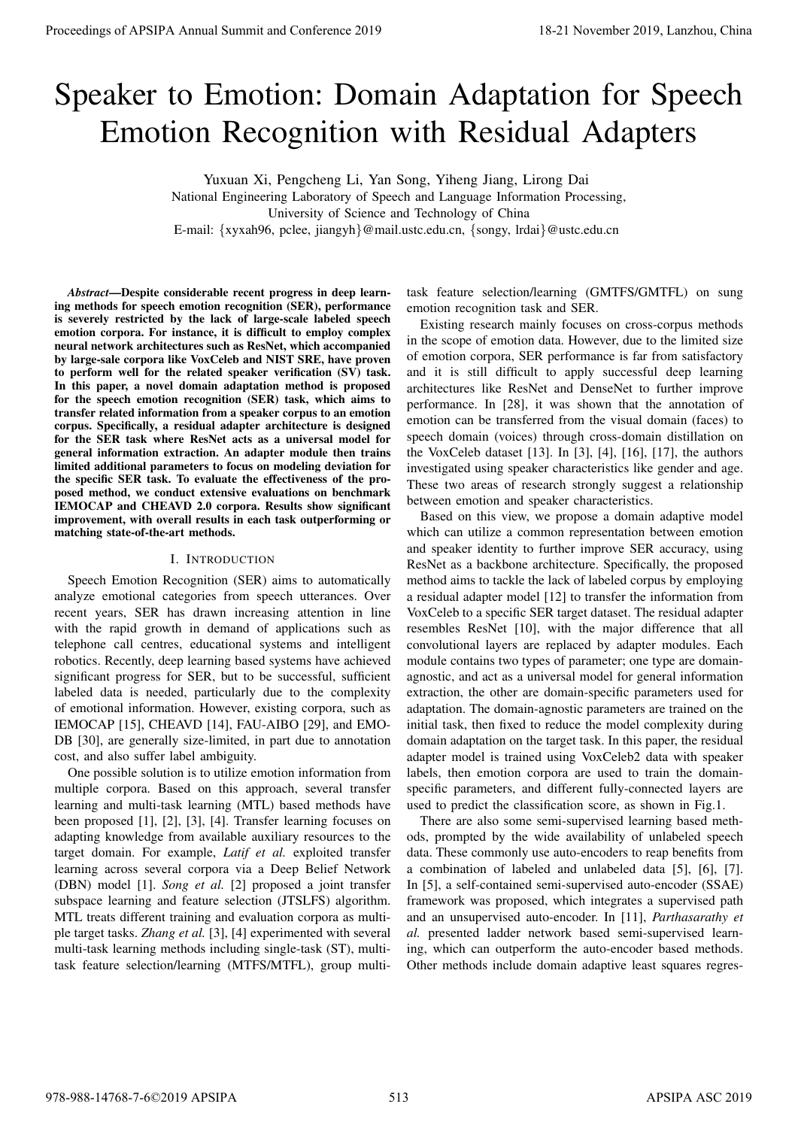# Speaker to Emotion: Domain Adaptation for Speech Emotion Recognition with Residual Adapters

Yuxuan Xi, Pengcheng Li, Yan Song, Yiheng Jiang, Lirong Dai

National Engineering Laboratory of Speech and Language Information Processing,

University of Science and Technology of China

E-mail: {xyxah96, pclee, jiangyh}@mail.ustc.edu.cn, {songy, lrdai}@ustc.edu.cn

*Abstract*—Despite considerable recent progress in deep learning methods for speech emotion recognition (SER), performance is severely restricted by the lack of large-scale labeled speech emotion corpora. For instance, it is difficult to employ complex neural network architectures such as ResNet, which accompanied by large-sale corpora like VoxCeleb and NIST SRE, have proven to perform well for the related speaker verification (SV) task. In this paper, a novel domain adaptation method is proposed for the speech emotion recognition (SER) task, which aims to transfer related information from a speaker corpus to an emotion corpus. Specifically, a residual adapter architecture is designed for the SER task where ResNet acts as a universal model for general information extraction. An adapter module then trains limited additional parameters to focus on modeling deviation for the specific SER task. To evaluate the effectiveness of the proposed method, we conduct extensive evaluations on benchmark IEMOCAP and CHEAVD 2.0 corpora. Results show significant improvement, with overall results in each task outperforming or matching state-of-the-art methods.

## I. INTRODUCTION

Speech Emotion Recognition (SER) aims to automatically analyze emotional categories from speech utterances. Over recent years, SER has drawn increasing attention in line with the rapid growth in demand of applications such as telephone call centres, educational systems and intelligent robotics. Recently, deep learning based systems have achieved significant progress for SER, but to be successful, sufficient labeled data is needed, particularly due to the complexity of emotional information. However, existing corpora, such as IEMOCAP [15], CHEAVD [14], FAU-AIBO [29], and EMO-DB [30], are generally size-limited, in part due to annotation cost, and also suffer label ambiguity.

One possible solution is to utilize emotion information from multiple corpora. Based on this approach, several transfer learning and multi-task learning (MTL) based methods have been proposed [1], [2], [3], [4]. Transfer learning focuses on adapting knowledge from available auxiliary resources to the target domain. For example, *Latif et al.* exploited transfer learning across several corpora via a Deep Belief Network (DBN) model [1]. *Song et al.* [2] proposed a joint transfer subspace learning and feature selection (JTSLFS) algorithm. MTL treats different training and evaluation corpora as multiple target tasks. *Zhang et al.* [3], [4] experimented with several multi-task learning methods including single-task (ST), multitask feature selection/learning (MTFS/MTFL), group multi-

task feature selection/learning (GMTFS/GMTFL) on sung emotion recognition task and SER.

Existing research mainly focuses on cross-corpus methods in the scope of emotion data. However, due to the limited size of emotion corpora, SER performance is far from satisfactory and it is still difficult to apply successful deep learning architectures like ResNet and DenseNet to further improve performance. In [28], it was shown that the annotation of emotion can be transferred from the visual domain (faces) to speech domain (voices) through cross-domain distillation on the VoxCeleb dataset [13]. In [3], [4], [16], [17], the authors investigated using speaker characteristics like gender and age. These two areas of research strongly suggest a relationship between emotion and speaker characteristics.

Based on this view, we propose a domain adaptive model which can utilize a common representation between emotion and speaker identity to further improve SER accuracy, using ResNet as a backbone architecture. Specifically, the proposed method aims to tackle the lack of labeled corpus by employing a residual adapter model [12] to transfer the information from VoxCeleb to a specific SER target dataset. The residual adapter resembles ResNet [10], with the major difference that all convolutional layers are replaced by adapter modules. Each module contains two types of parameter; one type are domainagnostic, and act as a universal model for general information extraction, the other are domain-specific parameters used for adaptation. The domain-agnostic parameters are trained on the initial task, then fixed to reduce the model complexity during domain adaptation on the target task. In this paper, the residual adapter model is trained using VoxCeleb2 data with speaker labels, then emotion corpora are used to train the domainspecific parameters, and different fully-connected layers are used to predict the classification score, as shown in Fig.1. **Proceedings of APSIPA Annual Summit at Conference 2019**<br>
Specific CD Emotion Recognition With Residual Adaptation for Specific Conference 2019<br>
Emotion Recognition With Residual Adaptation for Specific Conference 2019<br>
N

There are also some semi-supervised learning based methods, prompted by the wide availability of unlabeled speech data. These commonly use auto-encoders to reap benefits from a combination of labeled and unlabeled data [5], [6], [7]. In [5], a self-contained semi-supervised auto-encoder (SSAE) framework was proposed, which integrates a supervised path and an unsupervised auto-encoder. In [11], *Parthasarathy et al.* presented ladder network based semi-supervised learning, which can outperform the auto-encoder based methods. Other methods include domain adaptive least squares regres-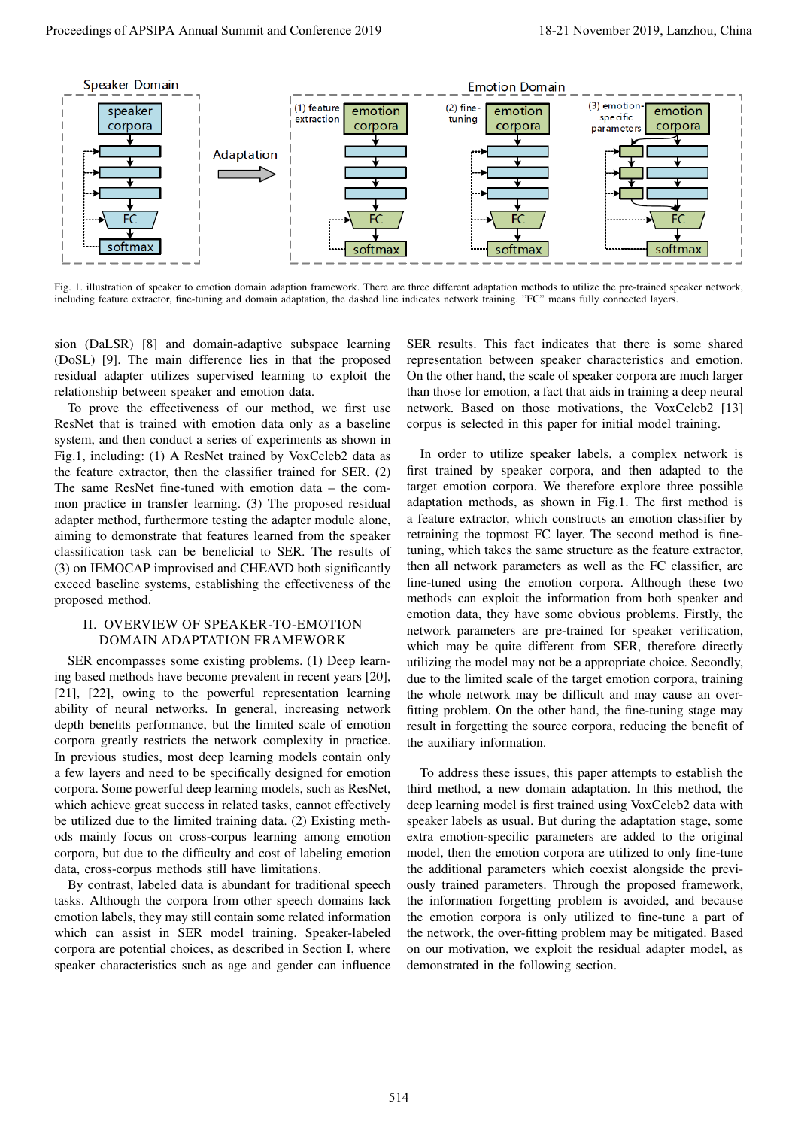

Fig. 1. illustration of speaker to emotion domain adaption framework. There are three different adaptation methods to utilize the pre-trained speaker network, including feature extractor, fine-tuning and domain adaptation, the dashed line indicates network training. "FC" means fully connected layers.

sion (DaLSR) [8] and domain-adaptive subspace learning (DoSL) [9]. The main difference lies in that the proposed residual adapter utilizes supervised learning to exploit the relationship between speaker and emotion data.

To prove the effectiveness of our method, we first use ResNet that is trained with emotion data only as a baseline system, and then conduct a series of experiments as shown in Fig.1, including: (1) A ResNet trained by VoxCeleb2 data as the feature extractor, then the classifier trained for SER. (2) The same ResNet fine-tuned with emotion data – the common practice in transfer learning. (3) The proposed residual adapter method, furthermore testing the adapter module alone, aiming to demonstrate that features learned from the speaker classification task can be beneficial to SER. The results of (3) on IEMOCAP improvised and CHEAVD both significantly exceed baseline systems, establishing the effectiveness of the proposed method.

# II. OVERVIEW OF SPEAKER-TO-EMOTION DOMAIN ADAPTATION FRAMEWORK

SER encompasses some existing problems. (1) Deep learning based methods have become prevalent in recent years [20], [21], [22], owing to the powerful representation learning ability of neural networks. In general, increasing network depth benefits performance, but the limited scale of emotion corpora greatly restricts the network complexity in practice. In previous studies, most deep learning models contain only a few layers and need to be specifically designed for emotion corpora. Some powerful deep learning models, such as ResNet, which achieve great success in related tasks, cannot effectively be utilized due to the limited training data. (2) Existing methods mainly focus on cross-corpus learning among emotion corpora, but due to the difficulty and cost of labeling emotion data, cross-corpus methods still have limitations.

By contrast, labeled data is abundant for traditional speech tasks. Although the corpora from other speech domains lack emotion labels, they may still contain some related information which can assist in SER model training. Speaker-labeled corpora are potential choices, as described in Section I, where speaker characteristics such as age and gender can influence

SER results. This fact indicates that there is some shared representation between speaker characteristics and emotion. On the other hand, the scale of speaker corpora are much larger than those for emotion, a fact that aids in training a deep neural network. Based on those motivations, the VoxCeleb2 [13] corpus is selected in this paper for initial model training.

In order to utilize speaker labels, a complex network is first trained by speaker corpora, and then adapted to the target emotion corpora. We therefore explore three possible adaptation methods, as shown in Fig.1. The first method is a feature extractor, which constructs an emotion classifier by retraining the topmost FC layer. The second method is finetuning, which takes the same structure as the feature extractor, then all network parameters as well as the FC classifier, are fine-tuned using the emotion corpora. Although these two methods can exploit the information from both speaker and emotion data, they have some obvious problems. Firstly, the network parameters are pre-trained for speaker verification, which may be quite different from SER, therefore directly utilizing the model may not be a appropriate choice. Secondly, due to the limited scale of the target emotion corpora, training the whole network may be difficult and may cause an overfitting problem. On the other hand, the fine-tuning stage may result in forgetting the source corpora, reducing the benefit of the auxiliary information.

To address these issues, this paper attempts to establish the third method, a new domain adaptation. In this method, the deep learning model is first trained using VoxCeleb2 data with speaker labels as usual. But during the adaptation stage, some extra emotion-specific parameters are added to the original model, then the emotion corpora are utilized to only fine-tune the additional parameters which coexist alongside the previously trained parameters. Through the proposed framework, the information forgetting problem is avoided, and because the emotion corpora is only utilized to fine-tune a part of the network, the over-fitting problem may be mitigated. Based on our motivation, we exploit the residual adapter model, as demonstrated in the following section.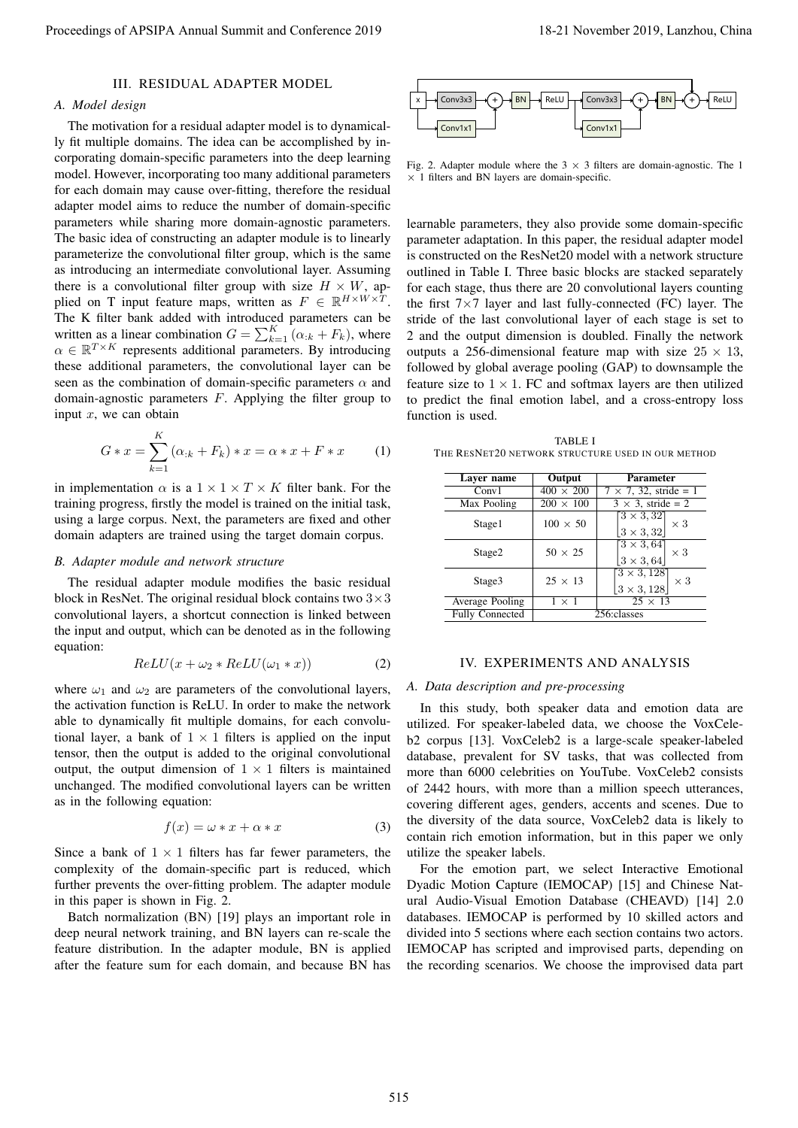## III. RESIDUAL ADAPTER MODEL

## *A. Model design*

The motivation for a residual adapter model is to dynamically fit multiple domains. The idea can be accomplished by incorporating domain-specific parameters into the deep learning model. However, incorporating too many additional parameters for each domain may cause over-fitting, therefore the residual adapter model aims to reduce the number of domain-specific parameters while sharing more domain-agnostic parameters. The basic idea of constructing an adapter module is to linearly parameterize the convolutional filter group, which is the same as introducing an intermediate convolutional layer. Assuming there is a convolutional filter group with size  $H \times W$ , applied on T input feature maps, written as  $F \in \mathbb{R}^{H \times W \times T}$ . The K filter bank added with introduced parameters can be written as a linear combination  $G = \sum_{k=1}^{K} (\alpha_{ik} + F_k)$ , where  $\alpha \in \mathbb{R}^{T \times K}$  represents additional parameters. By introducing these additional parameters, the convolutional layer can be seen as the combination of domain-specific parameters  $\alpha$  and domain-agnostic parameters F. Applying the filter group to input  $x$ , we can obtain Proceedings of APSIPA Annual Summit and Conference 2019<br>
The Constraints of APSIPA Annual Summit and Conference 2019<br>
The Constraints of APSIPA Annual Summit and Conference 2019<br>
The Conference 2019 18-21 November 2019 18

$$
G * x = \sum_{k=1}^{K} (\alpha_{:k} + F_k) * x = \alpha * x + F * x \tag{1}
$$

in implementation  $\alpha$  is a  $1 \times 1 \times T \times K$  filter bank. For the training progress, firstly the model is trained on the initial task, using a large corpus. Next, the parameters are fixed and other domain adapters are trained using the target domain corpus.

#### *B. Adapter module and network structure*

The residual adapter module modifies the basic residual block in ResNet. The original residual block contains two  $3 \times 3$ convolutional layers, a shortcut connection is linked between the input and output, which can be denoted as in the following equation:

$$
ReLU(x + \omega_2 * ReLU(\omega_1 * x))
$$
 (2)

where  $\omega_1$  and  $\omega_2$  are parameters of the convolutional layers, the activation function is ReLU. In order to make the network able to dynamically fit multiple domains, for each convolutional layer, a bank of  $1 \times 1$  filters is applied on the input tensor, then the output is added to the original convolutional output, the output dimension of  $1 \times 1$  filters is maintained unchanged. The modified convolutional layers can be written as in the following equation:

$$
f(x) = \omega * x + \alpha * x \tag{3}
$$

Since a bank of  $1 \times 1$  filters has far fewer parameters, the complexity of the domain-specific part is reduced, which further prevents the over-fitting problem. The adapter module in this paper is shown in Fig. 2.

Batch normalization (BN) [19] plays an important role in deep neural network training, and BN layers can re-scale the feature distribution. In the adapter module, BN is applied after the feature sum for each domain, and because BN has



Fig. 2. Adapter module where the  $3 \times 3$  filters are domain-agnostic. The 1  $\times$  1 filters and BN layers are domain-specific.

learnable parameters, they also provide some domain-specific parameter adaptation. In this paper, the residual adapter model is constructed on the ResNet20 model with a network structure outlined in Table I. Three basic blocks are stacked separately for each stage, thus there are 20 convolutional layers counting the first  $7 \times 7$  layer and last fully-connected (FC) layer. The stride of the last convolutional layer of each stage is set to 2 and the output dimension is doubled. Finally the network outputs a 256-dimensional feature map with size  $25 \times 13$ , followed by global average pooling (GAP) to downsample the feature size to  $1 \times 1$ . FC and softmax layers are then utilized to predict the final emotion label, and a cross-entropy loss function is used.

TABLE I THE RESNET20 NETWORK STRUCTURE USED IN OUR METHOD

| Layer name             | Output<br>Parameter |                                                                                                     |  |
|------------------------|---------------------|-----------------------------------------------------------------------------------------------------|--|
| Conv1                  | $400 \times 200$    | $\overline{7 \times 7}$ , $\overline{32}$ , stride = 1                                              |  |
| Max Pooling            | $200 \times 100$    | $3 \times 3$ , stride = 2                                                                           |  |
| Stage1                 | $100 \times 50$     | $\begin{array}{ l }\n \hline\n 3 \times 3, 32 \\  \hline\n 3 \times 3, 32\n \end{array}\n \times 3$ |  |
| Stage2                 | $50 \times 25$      | $\begin{bmatrix} 3 \times 3, 64 \\ 3 \times 3, 64 \end{bmatrix} \times 3$                           |  |
| Stage3                 | $25 \times 13$      | $\begin{bmatrix} 3 \times 3, 128 \\ 3 \times 3, 128 \end{bmatrix}$<br>$\times 3$                    |  |
| Average Pooling        | $1 \times 1$        | $25 \times 13$                                                                                      |  |
| <b>Fully Connected</b> | 256: classes        |                                                                                                     |  |

## IV. EXPERIMENTS AND ANALYSIS

### *A. Data description and pre-processing*

In this study, both speaker data and emotion data are utilized. For speaker-labeled data, we choose the VoxCeleb2 corpus [13]. VoxCeleb2 is a large-scale speaker-labeled database, prevalent for SV tasks, that was collected from more than 6000 celebrities on YouTube. VoxCeleb2 consists of 2442 hours, with more than a million speech utterances, covering different ages, genders, accents and scenes. Due to the diversity of the data source, VoxCeleb2 data is likely to contain rich emotion information, but in this paper we only utilize the speaker labels.

For the emotion part, we select Interactive Emotional Dyadic Motion Capture (IEMOCAP) [15] and Chinese Natural Audio-Visual Emotion Database (CHEAVD) [14] 2.0 databases. IEMOCAP is performed by 10 skilled actors and divided into 5 sections where each section contains two actors. IEMOCAP has scripted and improvised parts, depending on the recording scenarios. We choose the improvised data part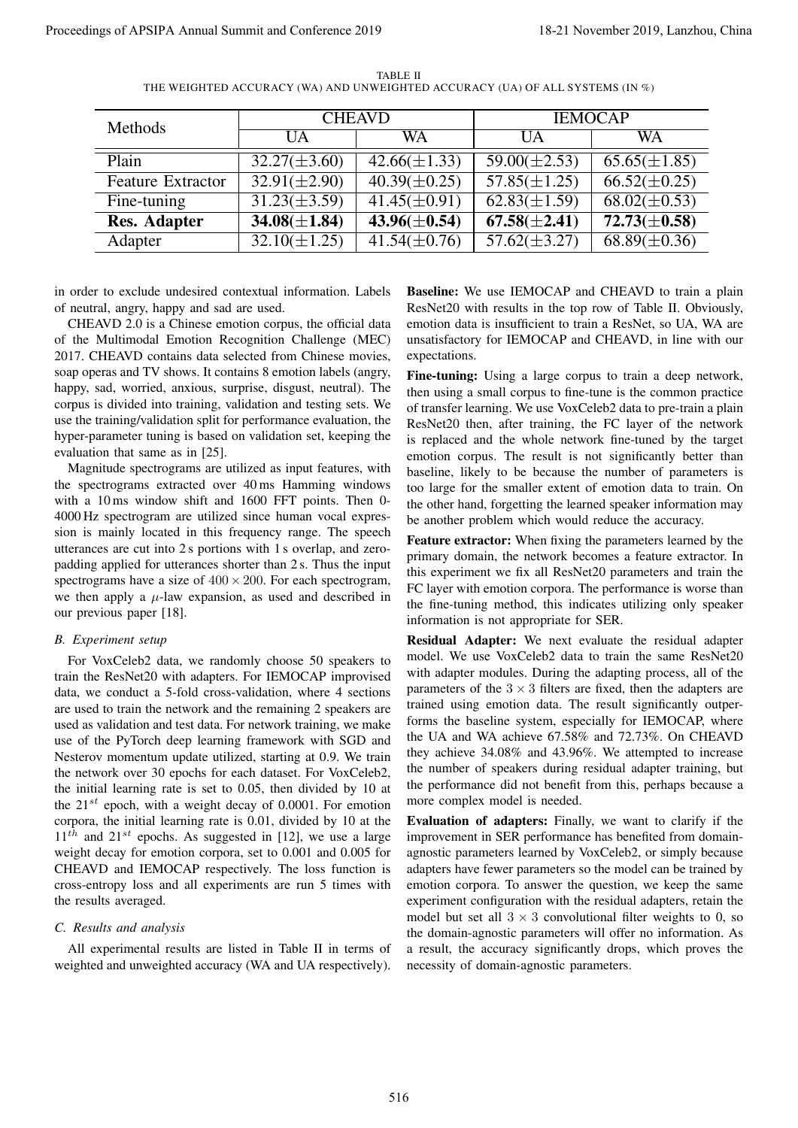| Methods                                                                                                                                                                                                                                                                                                                                                                                                                                                                                                                                                                                                                                                                                                                                                                                                                                                                                                                                                                                                                                                                                                                                                                                                                                                                                                                                                                                                                                                                                                                                                                                                                                                                                                                                                                                                                                                                                                                                                                                                                                                                                                                                                                                                                                                                                                                                                                                                                                                                                                                   | <b>CHEAVD</b>                          |                                        | <b>IEMOCAP</b>                                                                                                                                                                                                                                                                                                                                                                                                                                                                                                                                                                                                                                                                                                                                                                                                                                                                                                                                                                                                                                                                                                                                                                                                                                                                                                                                                                                                                                                                                                                                                                                                                                                                                                                                                                                                                                                                                                                                                                                                                                                                                                                                                                                                                                                                                                                                                                                                                                                                                                                                                                                                                  |                                        |
|---------------------------------------------------------------------------------------------------------------------------------------------------------------------------------------------------------------------------------------------------------------------------------------------------------------------------------------------------------------------------------------------------------------------------------------------------------------------------------------------------------------------------------------------------------------------------------------------------------------------------------------------------------------------------------------------------------------------------------------------------------------------------------------------------------------------------------------------------------------------------------------------------------------------------------------------------------------------------------------------------------------------------------------------------------------------------------------------------------------------------------------------------------------------------------------------------------------------------------------------------------------------------------------------------------------------------------------------------------------------------------------------------------------------------------------------------------------------------------------------------------------------------------------------------------------------------------------------------------------------------------------------------------------------------------------------------------------------------------------------------------------------------------------------------------------------------------------------------------------------------------------------------------------------------------------------------------------------------------------------------------------------------------------------------------------------------------------------------------------------------------------------------------------------------------------------------------------------------------------------------------------------------------------------------------------------------------------------------------------------------------------------------------------------------------------------------------------------------------------------------------------------------|----------------------------------------|----------------------------------------|---------------------------------------------------------------------------------------------------------------------------------------------------------------------------------------------------------------------------------------------------------------------------------------------------------------------------------------------------------------------------------------------------------------------------------------------------------------------------------------------------------------------------------------------------------------------------------------------------------------------------------------------------------------------------------------------------------------------------------------------------------------------------------------------------------------------------------------------------------------------------------------------------------------------------------------------------------------------------------------------------------------------------------------------------------------------------------------------------------------------------------------------------------------------------------------------------------------------------------------------------------------------------------------------------------------------------------------------------------------------------------------------------------------------------------------------------------------------------------------------------------------------------------------------------------------------------------------------------------------------------------------------------------------------------------------------------------------------------------------------------------------------------------------------------------------------------------------------------------------------------------------------------------------------------------------------------------------------------------------------------------------------------------------------------------------------------------------------------------------------------------------------------------------------------------------------------------------------------------------------------------------------------------------------------------------------------------------------------------------------------------------------------------------------------------------------------------------------------------------------------------------------------------------------------------------------------------------------------------------------------------|----------------------------------------|
|                                                                                                                                                                                                                                                                                                                                                                                                                                                                                                                                                                                                                                                                                                                                                                                                                                                                                                                                                                                                                                                                                                                                                                                                                                                                                                                                                                                                                                                                                                                                                                                                                                                                                                                                                                                                                                                                                                                                                                                                                                                                                                                                                                                                                                                                                                                                                                                                                                                                                                                           | <b>UA</b>                              | WA                                     | <b>UA</b>                                                                                                                                                                                                                                                                                                                                                                                                                                                                                                                                                                                                                                                                                                                                                                                                                                                                                                                                                                                                                                                                                                                                                                                                                                                                                                                                                                                                                                                                                                                                                                                                                                                                                                                                                                                                                                                                                                                                                                                                                                                                                                                                                                                                                                                                                                                                                                                                                                                                                                                                                                                                                       | $\overline{\text{WA}}$                 |
| Plain                                                                                                                                                                                                                                                                                                                                                                                                                                                                                                                                                                                                                                                                                                                                                                                                                                                                                                                                                                                                                                                                                                                                                                                                                                                                                                                                                                                                                                                                                                                                                                                                                                                                                                                                                                                                                                                                                                                                                                                                                                                                                                                                                                                                                                                                                                                                                                                                                                                                                                                     | $32.27(\pm3.60)$                       | $42.66(\pm 1.33)$                      | $59.00(\pm 2.53)$                                                                                                                                                                                                                                                                                                                                                                                                                                                                                                                                                                                                                                                                                                                                                                                                                                                                                                                                                                                                                                                                                                                                                                                                                                                                                                                                                                                                                                                                                                                                                                                                                                                                                                                                                                                                                                                                                                                                                                                                                                                                                                                                                                                                                                                                                                                                                                                                                                                                                                                                                                                                               | $65.65(\pm 1.85)$                      |
| <b>Feature Extractor</b>                                                                                                                                                                                                                                                                                                                                                                                                                                                                                                                                                                                                                                                                                                                                                                                                                                                                                                                                                                                                                                                                                                                                                                                                                                                                                                                                                                                                                                                                                                                                                                                                                                                                                                                                                                                                                                                                                                                                                                                                                                                                                                                                                                                                                                                                                                                                                                                                                                                                                                  | $32.91(\pm2.90)$                       | $40.39(\pm 0.25)$                      | $57.85(\pm 1.25)$                                                                                                                                                                                                                                                                                                                                                                                                                                                                                                                                                                                                                                                                                                                                                                                                                                                                                                                                                                                                                                                                                                                                                                                                                                                                                                                                                                                                                                                                                                                                                                                                                                                                                                                                                                                                                                                                                                                                                                                                                                                                                                                                                                                                                                                                                                                                                                                                                                                                                                                                                                                                               | $66.52(\pm 0.25)$                      |
| Fine-tuning                                                                                                                                                                                                                                                                                                                                                                                                                                                                                                                                                                                                                                                                                                                                                                                                                                                                                                                                                                                                                                                                                                                                                                                                                                                                                                                                                                                                                                                                                                                                                                                                                                                                                                                                                                                                                                                                                                                                                                                                                                                                                                                                                                                                                                                                                                                                                                                                                                                                                                               | $31.23(\pm 3.59)$                      | $41.45(\pm 0.91)$                      | $62.83(\pm 1.59)$                                                                                                                                                                                                                                                                                                                                                                                                                                                                                                                                                                                                                                                                                                                                                                                                                                                                                                                                                                                                                                                                                                                                                                                                                                                                                                                                                                                                                                                                                                                                                                                                                                                                                                                                                                                                                                                                                                                                                                                                                                                                                                                                                                                                                                                                                                                                                                                                                                                                                                                                                                                                               | $68.02(\pm 0.53)$                      |
| <b>Res. Adapter</b><br>Adapter                                                                                                                                                                                                                                                                                                                                                                                                                                                                                                                                                                                                                                                                                                                                                                                                                                                                                                                                                                                                                                                                                                                                                                                                                                                                                                                                                                                                                                                                                                                                                                                                                                                                                                                                                                                                                                                                                                                                                                                                                                                                                                                                                                                                                                                                                                                                                                                                                                                                                            | $34.08(\pm 1.84)$<br>$32.10(\pm 1.25)$ | $43.96(\pm 0.54)$<br>$41.54(\pm 0.76)$ | $67.58(\pm 2.41)$<br>$57.62(\pm 3.27)$                                                                                                                                                                                                                                                                                                                                                                                                                                                                                                                                                                                                                                                                                                                                                                                                                                                                                                                                                                                                                                                                                                                                                                                                                                                                                                                                                                                                                                                                                                                                                                                                                                                                                                                                                                                                                                                                                                                                                                                                                                                                                                                                                                                                                                                                                                                                                                                                                                                                                                                                                                                          | $72.73(\pm 0.58)$<br>$68.89(\pm 0.36)$ |
| in order to exclude undesired contextual information. Labels<br>of neutral, angry, happy and sad are used.<br>CHEAVD 2.0 is a Chinese emotion corpus, the official data<br>of the Multimodal Emotion Recognition Challenge (MEC)<br>2017. CHEAVD contains data selected from Chinese movies,<br>soap operas and TV shows. It contains 8 emotion labels (angry,<br>happy, sad, worried, anxious, surprise, disgust, neutral). The<br>corpus is divided into training, validation and testing sets. We<br>use the training/validation split for performance evaluation, the<br>hyper-parameter tuning is based on validation set, keeping the<br>evaluation that same as in [25].<br>Magnitude spectrograms are utilized as input features, with<br>the spectrograms extracted over 40ms Hamming windows<br>with a 10 ms window shift and 1600 FFT points. Then 0-<br>4000 Hz spectrogram are utilized since human vocal expres-<br>sion is mainly located in this frequency range. The speech<br>utterances are cut into 2 s portions with 1 s overlap, and zero-<br>padding applied for utterances shorter than 2 s. Thus the input<br>spectrograms have a size of $400 \times 200$ . For each spectrogram,<br>we then apply a $\mu$ -law expansion, as used and described in<br>our previous paper [18].<br><b>B.</b> Experiment setup<br>For VoxCeleb2 data, we randomly choose 50 speakers to<br>train the ResNet20 with adapters. For IEMOCAP improvised<br>data, we conduct a 5-fold cross-validation, where 4 sections<br>are used to train the network and the remaining 2 speakers are<br>used as validation and test data. For network training, we make<br>use of the PyTorch deep learning framework with SGD and<br>Nesterov momentum update utilized, starting at 0.9. We train<br>the network over 30 epochs for each dataset. For VoxCeleb2,<br>the initial learning rate is set to $0.05$ , then divided by 10 at<br>the $21^{st}$ epoch, with a weight decay of 0.0001. For emotion<br>corpora, the initial learning rate is 0.01, divided by 10 at the<br>$11^{th}$ and $21^{st}$ epochs. As suggested in [12], we use a large<br>weight decay for emotion corpora, set to 0.001 and 0.005 for<br>CHEAVD and IEMOCAP respectively. The loss function is<br>cross-entropy loss and all experiments are run 5 times with<br>the results averaged.<br>C. Results and analysis<br>All experimental results are listed in Table II in terms of<br>weighted and unweighted accuracy (WA and UA respectively). |                                        | expectations.                          | <b>Baseline:</b> We use IEMOCAP and CHEAVD to train a plain<br>ResNet20 with results in the top row of Table II. Obviously,<br>emotion data is insufficient to train a ResNet, so UA, WA are<br>unsatisfactory for IEMOCAP and CHEAVD, in line with our<br>Fine-tuning: Using a large corpus to train a deep network,<br>then using a small corpus to fine-tune is the common practice<br>of transfer learning. We use VoxCeleb2 data to pre-train a plain<br>ResNet20 then, after training, the FC layer of the network<br>is replaced and the whole network fine-tuned by the target<br>emotion corpus. The result is not significantly better than<br>baseline, likely to be because the number of parameters is<br>too large for the smaller extent of emotion data to train. On<br>the other hand, forgetting the learned speaker information may<br>be another problem which would reduce the accuracy.<br>Feature extractor: When fixing the parameters learned by the<br>primary domain, the network becomes a feature extractor. In<br>this experiment we fix all ResNet20 parameters and train the<br>FC layer with emotion corpora. The performance is worse than<br>the fine-tuning method, this indicates utilizing only speaker<br>information is not appropriate for SER.<br><b>Residual Adapter:</b> We next evaluate the residual adapter<br>model. We use VoxCeleb2 data to train the same ResNet20<br>with adapter modules. During the adapting process, all of the<br>parameters of the $3 \times 3$ filters are fixed, then the adapters are<br>trained using emotion data. The result significantly outper-<br>forms the baseline system, especially for IEMOCAP, where<br>the UA and WA achieve 67.58% and 72.73%. On CHEAVD<br>they achieve 34.08% and 43.96%. We attempted to increase<br>the number of speakers during residual adapter training, but<br>the performance did not benefit from this, perhaps because a<br>more complex model is needed.<br>Evaluation of adapters: Finally, we want to clarify if the<br>improvement in SER performance has benefited from domain-<br>agnostic parameters learned by VoxCeleb2, or simply because<br>adapters have fewer parameters so the model can be trained by<br>emotion corpora. To answer the question, we keep the same<br>experiment configuration with the residual adapters, retain the<br>model but set all $3 \times 3$ convolutional filter weights to 0, so<br>the domain-agnostic parameters will offer no information. As<br>a result, the accuracy significantly drops, which proves the<br>necessity of domain-agnostic parameters. |                                        |

TABLE II THE WEIGHTED ACCURACY (WA) AND UNWEIGHTED ACCURACY (UA) OF ALL SYSTEMS (IN %)

## *B. Experiment setup*

# *C. Results and analysis*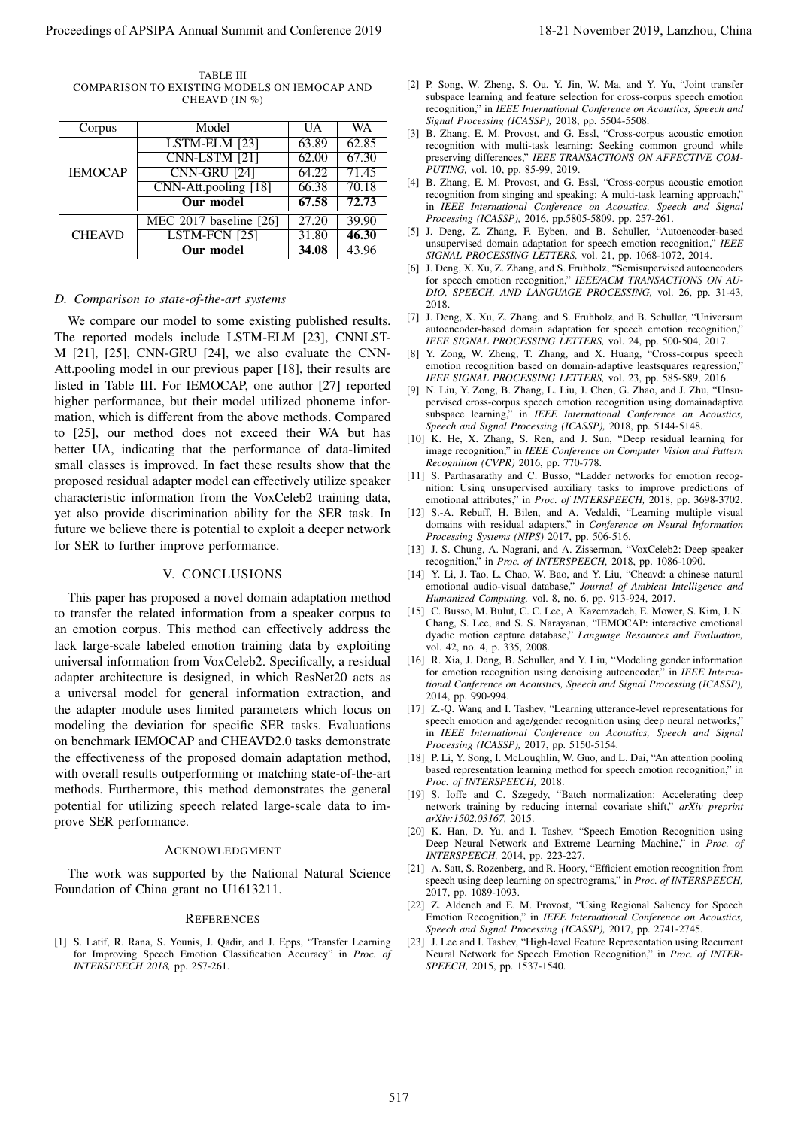| TABLE III                                    |
|----------------------------------------------|
| COMPARISON TO EXISTING MODELS ON IEMOCAP AND |
| CHEAVD $(IN \%)$                             |

| Corpus         | Model                             | UA    | WA    |
|----------------|-----------------------------------|-------|-------|
| <b>IEMOCAP</b> | $\overline{\text{LSTM-ELM}}$ [23] | 63.89 | 62.85 |
|                | CNN-LSTM [21]                     | 62.00 | 67.30 |
|                | CNN-GRU [24]                      | 64.22 | 71.45 |
|                | CNN-Att.pooling [18]              | 66.38 | 70.18 |
|                | <b>Our</b> model                  | 67.58 | 72.73 |
| <b>CHEAVD</b>  | MEC 2017 baseline [26]            | 27.20 | 39.90 |
|                | LSTM-FCN [25]                     | 31.80 | 46.30 |
|                | <b>Our model</b>                  | 34.08 | 43.96 |

#### *D. Comparison to state-of-the-art systems*

We compare our model to some existing published results. The reported models include LSTM-ELM [23], CNNLST-M [21], [25], CNN-GRU [24], we also evaluate the CNN-Att.pooling model in our previous paper [18], their results are listed in Table III. For IEMOCAP, one author [27] reported higher performance, but their model utilized phoneme information, which is different from the above methods. Compared to [25], our method does not exceed their WA but has better UA, indicating that the performance of data-limited small classes is improved. In fact these results show that the proposed residual adapter model can effectively utilize speaker characteristic information from the VoxCeleb2 training data, yet also provide discrimination ability for the SER task. In future we believe there is potential to exploit a deeper network for SER to further improve performance. Proceedings of APSIPA Annual Summit at China 518-21 November 2019, Lanzhou, China 518-21 November 2019, Lanzhou, China 517 November 2019, Lanzhou, China 517 November 2019, Lanzhou, China 517 November 2019, Lanzhou, China

#### V. CONCLUSIONS

This paper has proposed a novel domain adaptation method to transfer the related information from a speaker corpus to an emotion corpus. This method can effectively address the lack large-scale labeled emotion training data by exploiting universal information from VoxCeleb2. Specifically, a residual adapter architecture is designed, in which ResNet20 acts as a universal model for general information extraction, and the adapter module uses limited parameters which focus on modeling the deviation for specific SER tasks. Evaluations on benchmark IEMOCAP and CHEAVD2.0 tasks demonstrate the effectiveness of the proposed domain adaptation method, with overall results outperforming or matching state-of-the-art methods. Furthermore, this method demonstrates the general potential for utilizing speech related large-scale data to improve SER performance.

#### ACKNOWLEDGMENT

The work was supported by the National Natural Science Foundation of China grant no U1613211.

#### **REFERENCES**

[1] S. Latif, R. Rana, S. Younis, J. Qadir, and J. Epps, "Transfer Learning for Improving Speech Emotion Classification Accuracy" in *Proc. of INTERSPEECH 2018,* pp. 257-261.

- [2] P. Song, W. Zheng, S. Ou, Y. Jin, W. Ma, and Y. Yu, "Joint transfer subspace learning and feature selection for cross-corpus speech emotion recognition," in *IEEE International Conference on Acoustics, Speech and Signal Processing (ICASSP),* 2018, pp. 5504-5508.
- [3] B. Zhang, E. M. Provost, and G. Essl, "Cross-corpus acoustic emotion recognition with multi-task learning: Seeking common ground while preserving differences," *IEEE TRANSACTIONS ON AFFECTIVE COM-PUTING,* vol. 10, pp. 85-99, 2019.
- [4] B. Zhang, E. M. Provost, and G. Essl, "Cross-corpus acoustic emotion recognition from singing and speaking: A multi-task learning approach," in *IEEE International Conference on Acoustics, Speech and Signal Processing (ICASSP),* 2016, pp.5805-5809. pp. 257-261.
- [5] J. Deng, Z. Zhang, F. Eyben, and B. Schuller, "Autoencoder-based unsupervised domain adaptation for speech emotion recognition," *IEEE SIGNAL PROCESSING LETTERS,* vol. 21, pp. 1068-1072, 2014.
- [6] J. Deng, X. Xu, Z. Zhang, and S. Fruhholz, "Semisupervised autoencoders for speech emotion recognition," *IEEE/ACM TRANSACTIONS ON AU-DIO, SPEECH, AND LANGUAGE PROCESSING,* vol. 26, pp. 31-43, 2018.
- [7] J. Deng, X. Xu, Z. Zhang, and S. Fruhholz, and B. Schuller, "Universum autoencoder-based domain adaptation for speech emotion recognition," *IEEE SIGNAL PROCESSING LETTERS,* vol. 24, pp. 500-504, 2017.
- [8] Y. Zong, W. Zheng, T. Zhang, and X. Huang, "Cross-corpus speech emotion recognition based on domain-adaptive leastsquares regression," *IEEE SIGNAL PROCESSING LETTERS,* vol. 23, pp. 585-589, 2016.
- [9] N. Liu, Y. Zong, B. Zhang, L. Liu, J. Chen, G. Zhao, and J. Zhu, "Unsupervised cross-corpus speech emotion recognition using domainadaptive subspace learning," in *IEEE International Conference on Acoustics, Speech and Signal Processing (ICASSP),* 2018, pp. 5144-5148.
- [10] K. He, X. Zhang, S. Ren, and J. Sun, "Deep residual learning for image recognition," in *IEEE Conference on Computer Vision and Pattern Recognition (CVPR)* 2016, pp. 770-778.
- [11] S. Parthasarathy and C. Busso, "Ladder networks for emotion recognition: Using unsupervised auxiliary tasks to improve predictions of emotional attributes," in *Proc. of INTERSPEECH*, 2018, pp. 3698-3702.
- [12] S.-A. Rebuff, H. Bilen, and A. Vedaldi, "Learning multiple visual domains with residual adapters," in *Conference on Neural Information Processing Systems (NIPS)* 2017, pp. 506-516.
- [13] J. S. Chung, A. Nagrani, and A. Zisserman, "VoxCeleb2: Deep speaker recognition," in *Proc. of INTERSPEECH,* 2018, pp. 1086-1090.
- [14] Y. Li, J. Tao, L. Chao, W. Bao, and Y. Liu, "Cheavd: a chinese natural emotional audio-visual database," *Journal of Ambient Intelligence and Humanized Computing,* vol. 8, no. 6, pp. 913-924, 2017.
- [15] C. Busso, M. Bulut, C. C. Lee, A. Kazemzadeh, E. Mower, S. Kim, J. N. Chang, S. Lee, and S. S. Narayanan, "IEMOCAP: interactive emotional dyadic motion capture database," *Language Resources and Evaluation,* vol. 42, no. 4, p. 335, 2008.
- [16] R. Xia, J. Deng, B. Schuller, and Y. Liu, "Modeling gender information for emotion recognition using denoising autoencoder," in *IEEE International Conference on Acoustics, Speech and Signal Processing (ICASSP),* 2014, pp. 990-994.
- [17] Z.-Q. Wang and I. Tashev, "Learning utterance-level representations for speech emotion and age/gender recognition using deep neural networks, in *IEEE International Conference on Acoustics, Speech and Signal Processing (ICASSP),* 2017, pp. 5150-5154.
- [18] P. Li, Y. Song, I. McLoughlin, W. Guo, and L. Dai, "An attention pooling based representation learning method for speech emotion recognition," in *Proc. of INTERSPEECH,* 2018.
- [19] S. Ioffe and C. Szegedy, "Batch normalization: Accelerating deep network training by reducing internal covariate shift," *arXiv preprint arXiv:1502.03167,* 2015.
- [20] K. Han, D. Yu, and I. Tashev, "Speech Emotion Recognition using Deep Neural Network and Extreme Learning Machine," in *Proc. of INTERSPEECH,* 2014, pp. 223-227.
- [21] A. Satt, S. Rozenberg, and R. Hoory, "Efficient emotion recognition from speech using deep learning on spectrograms," in *Proc. of INTERSPEECH,* 2017, pp. 1089-1093.
- [22] Z. Aldeneh and E. M. Provost, "Using Regional Saliency for Speech Emotion Recognition," in *IEEE International Conference on Acoustics, Speech and Signal Processing (ICASSP),* 2017, pp. 2741-2745.
- [23] J. Lee and I. Tashev, "High-level Feature Representation using Recurrent Neural Network for Speech Emotion Recognition," in *Proc. of INTER-SPEECH,* 2015, pp. 1537-1540.